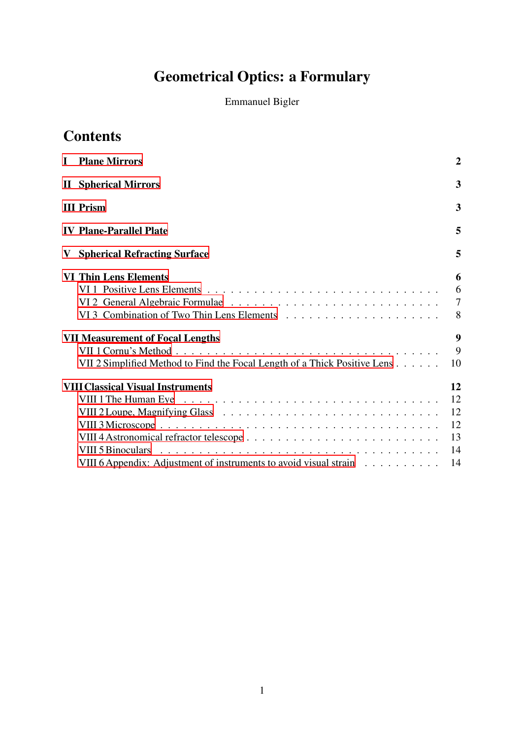# Geometrical Optics: a Formulary

Emmanuel Bigler

## **Contents**

| <b>I</b> Plane Mirrors                                                    | $\overline{2}$      |
|---------------------------------------------------------------------------|---------------------|
| <b>II</b> Spherical Mirrors                                               | 3                   |
| <b>III Prism</b>                                                          | 3                   |
| <b>IV Plane-Parallel Plate</b>                                            | 5                   |
| <b>V</b> Spherical Refracting Surface                                     | 5                   |
| <b>VI Thin Lens Elements</b>                                              | 6<br>6              |
|                                                                           | $\overline{7}$<br>8 |
| <b>VII Measurement of Focal Lengths</b>                                   | 9                   |
| VII 2 Simplified Method to Find the Focal Length of a Thick Positive Lens | 9<br>10             |
| <b>VIII Classical Visual Instruments</b>                                  | 12                  |
|                                                                           | 12                  |
|                                                                           | 12                  |
|                                                                           | 12                  |
|                                                                           | 13                  |
|                                                                           | 14                  |
| VIII 6 Appendix: Adjustment of instruments to avoid visual strain         | 14                  |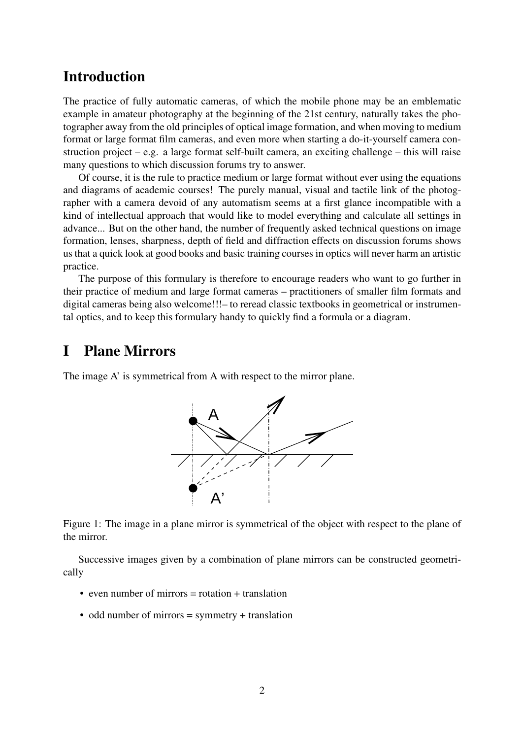## Introduction

The practice of fully automatic cameras, of which the mobile phone may be an emblematic example in amateur photography at the beginning of the 21st century, naturally takes the photographer away from the old principles of optical image formation, and when moving to medium format or large format film cameras, and even more when starting a do-it-yourself camera construction project – e.g. a large format self-built camera, an exciting challenge – this will raise many questions to which discussion forums try to answer.

Of course, it is the rule to practice medium or large format without ever using the equations and diagrams of academic courses! The purely manual, visual and tactile link of the photographer with a camera devoid of any automatism seems at a first glance incompatible with a kind of intellectual approach that would like to model everything and calculate all settings in advance... But on the other hand, the number of frequently asked technical questions on image formation, lenses, sharpness, depth of field and diffraction effects on discussion forums shows us that a quick look at good books and basic training courses in optics will never harm an artistic practice.

The purpose of this formulary is therefore to encourage readers who want to go further in their practice of medium and large format cameras – practitioners of smaller film formats and digital cameras being also welcome!!!– to reread classic textbooks in geometrical or instrumental optics, and to keep this formulary handy to quickly find a formula or a diagram.

## <span id="page-1-0"></span>I Plane Mirrors

The image A' is symmetrical from A with respect to the mirror plane.



Figure 1: The image in a plane mirror is symmetrical of the object with respect to the plane of the mirror.

Successive images given by a combination of plane mirrors can be constructed geometrically

- even number of mirrors  $=$  rotation  $+$  translation
- odd number of mirrors = symmetry + translation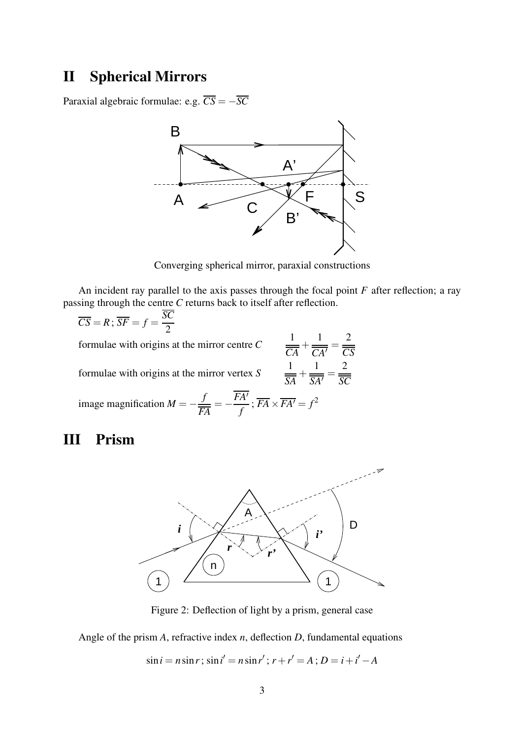## <span id="page-2-0"></span>II Spherical Mirrors

Paraxial algebraic formulae: e.g.  $\overline{CS} = -\overline{SC}$ 



Converging spherical mirror, paraxial constructions

An incident ray parallel to the axis passes through the focal point *F* after reflection; a ray passing through the centre *C* returns back to itself after reflection.

> 1 *CA*  $+$ 1  $\frac{1}{CA'}$

1

1

2 *CS*

2 *SC*

$$
\overline{CS} = R; \overline{SF} = f = \frac{SC}{2}
$$

formulae with origins at the mirror centre *C*

formulae with origins at the mirror vertex *S*

formulae with origins at the mirror vertex *S* 
$$
\frac{1}{\overline{SA}} + \frac{1}{\overline{SA'}} =
$$
  
image magnification  $M = -\frac{f}{\overline{FA}} = -\frac{\overline{FA'}}{f}; \overline{FA} \times \overline{FA'} = f^2$ 

## <span id="page-2-1"></span>III Prism



Figure 2: Deflection of light by a prism, general case

Angle of the prism *A*, refractive index *n*, deflection *D*, fundamental equations

 $\sin i = n \sin r$ ;  $\sin i' = n \sin r'$ ;  $r + r' = A$ ;  $D = i + i' - A$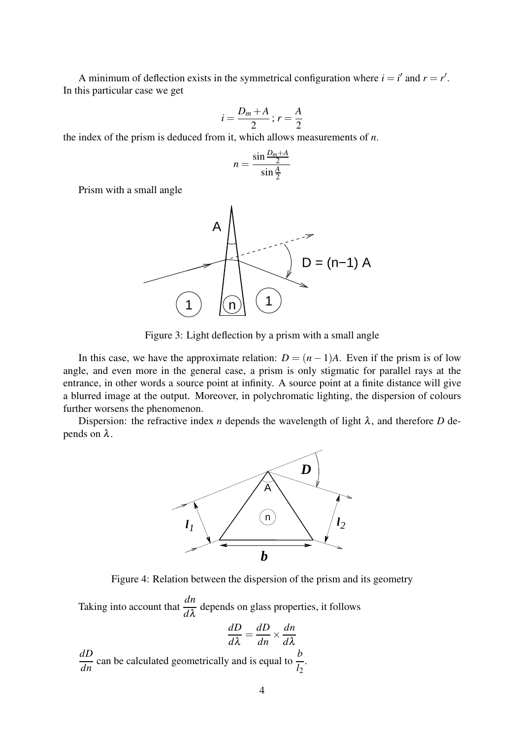A minimum of deflection exists in the symmetrical configuration where  $i = i'$  and  $r = r'$ . In this particular case we get

$$
i=\frac{D_m+A}{2}; r=\frac{A}{2}
$$

the index of the prism is deduced from it, which allows measurements of *n*.

$$
n = \frac{\sin \frac{D_m + A}{2}}{\sin \frac{A}{2}}
$$

Prism with a small angle



Figure 3: Light deflection by a prism with a small angle

In this case, we have the approximate relation:  $D = (n-1)A$ . Even if the prism is of low angle, and even more in the general case, a prism is only stigmatic for parallel rays at the entrance, in other words a source point at infinity. A source point at a finite distance will give a blurred image at the output. Moreover, in polychromatic lighting, the dispersion of colours further worsens the phenomenon.

Dispersion: the refractive index *n* depends the wavelength of light  $\lambda$ , and therefore *D* depends on  $λ$ .



Figure 4: Relation between the dispersion of the prism and its geometry

Taking into account that  $\frac{dn}{dt}$ *d*λ depends on glass properties, it follows

$$
\frac{dD}{d\lambda} = \frac{dD}{dn} \times \frac{dn}{d\lambda}
$$

 $\frac{dD}{dn}$  can be calculated geometrically and is equal to  $\frac{b}{l_2}$ .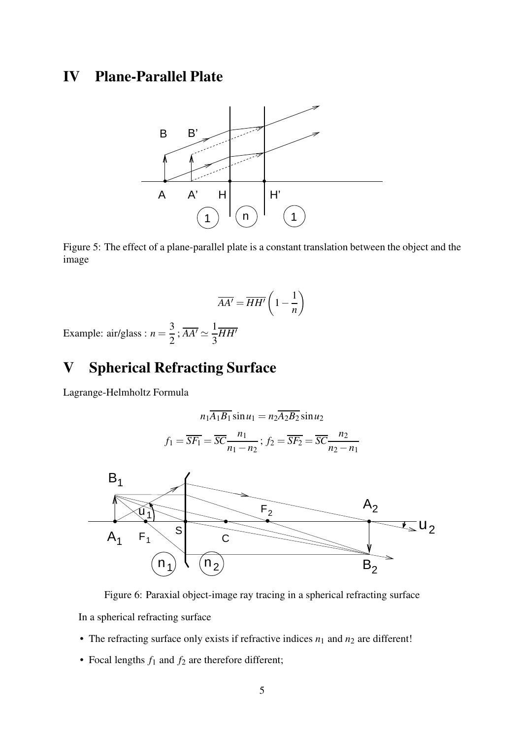## <span id="page-4-0"></span>IV Plane-Parallel Plate



Figure 5: The effect of a plane-parallel plate is a constant translation between the object and the image

$$
\overline{AA'} = \overline{HH'} \left( 1 - \frac{1}{n} \right)
$$

Example:  $air/glass : n =$ 3 2  $;\overline{AA'}\simeq \frac{1}{2}$ 3 *HH*′

## <span id="page-4-1"></span>V Spherical Refracting Surface

Lagrange-Helmholtz Formula

$$
n_1\overline{A_1B_1}\sin u_1 = n_2\overline{A_2B_2}\sin u_2
$$

$$
f_1 = \overline{SF_1} = \overline{SC} \frac{n_1}{n_1 - n_2}; f_2 = \overline{SF_2} = \overline{SC} \frac{n_2}{n_2 - n_1}
$$



Figure 6: Paraxial object-image ray tracing in a spherical refracting surface

In a spherical refracting surface

- The refracting surface only exists if refractive indices  $n_1$  and  $n_2$  are different!
- Focal lengths  $f_1$  and  $f_2$  are therefore different;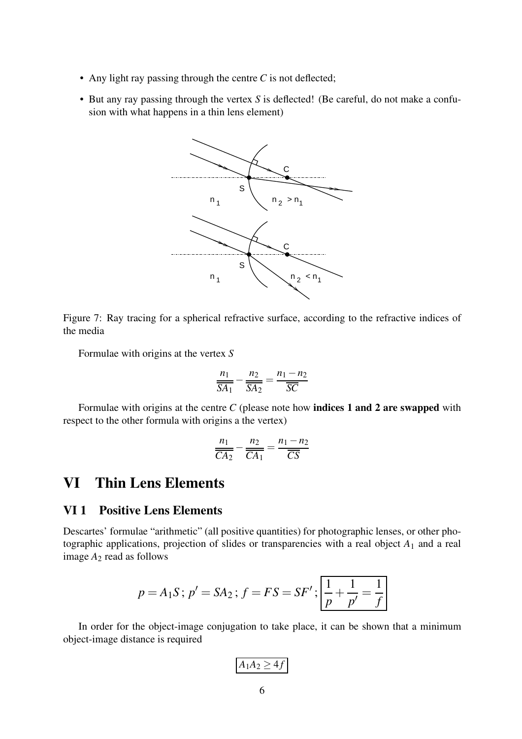- Any light ray passing through the centre *C* is not deflected;
- But any ray passing through the vertex *S* is deflected! (Be careful, do not make a confusion with what happens in a thin lens element)



Figure 7: Ray tracing for a spherical refractive surface, according to the refractive indices of the media

Formulae with origins at the vertex *S*

$$
\frac{n_1}{\overline{SA_1}} - \frac{n_2}{\overline{SA_2}} = \frac{n_1 - n_2}{\overline{SC}}
$$

Formulae with origins at the centre *C* (please note how **indices 1 and 2 are swapped** with respect to the other formula with origins a the vertex)

$$
\frac{n_1}{\overline{CA_2}} - \frac{n_2}{\overline{CA_1}} = \frac{n_1 - n_2}{\overline{CS}}
$$

## <span id="page-5-1"></span><span id="page-5-0"></span>VI Thin Lens Elements

#### VI 1 Positive Lens Elements

Descartes' formulae "arithmetic" (all positive quantities) for photographic lenses, or other photographic applications, projection of slides or transparencies with a real object *A*<sup>1</sup> and a real image *A*<sup>2</sup> read as follows

$$
p = A_1 S
$$
;  $p' = SA_2$ ;  $f = FS = SF'$ ;  $\left| \frac{1}{p} + \frac{1}{p'} = \frac{1}{f} \right|$ 

In order for the object-image conjugation to take place, it can be shown that a minimum object-image distance is required

$$
A_1A_2\geq 4f
$$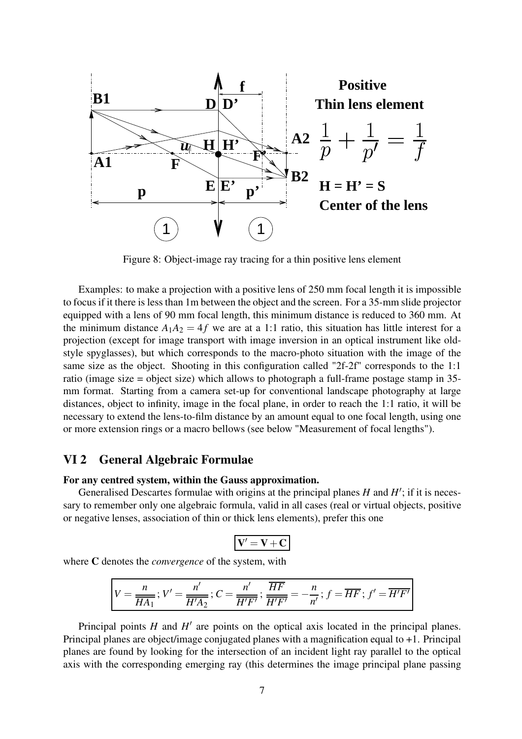

Figure 8: Object-image ray tracing for a thin positive lens element

Examples: to make a projection with a positive lens of 250 mm focal length it is impossible to focus if it there is less than 1m between the object and the screen. For a 35-mm slide projector equipped with a lens of 90 mm focal length, this minimum distance is reduced to 360 mm. At the minimum distance  $A_1A_2 = 4f$  we are at a 1:1 ratio, this situation has little interest for a projection (except for image transport with image inversion in an optical instrument like oldstyle spyglasses), but which corresponds to the macro-photo situation with the image of the same size as the object. Shooting in this configuration called "2f-2f" corresponds to the 1:1 ratio (image size = object size) which allows to photograph a full-frame postage stamp in 35 mm format. Starting from a camera set-up for conventional landscape photography at large distances, object to infinity, image in the focal plane, in order to reach the 1:1 ratio, it will be necessary to extend the lens-to-film distance by an amount equal to one focal length, using one or more extension rings or a macro bellows (see below "Measurement of focal lengths").

#### <span id="page-6-0"></span>VI 2 General Algebraic Formulae

#### For any centred system, within the Gauss approximation.

Generalised Descartes formulae with origins at the principal planes  $H$  and  $H'$ ; if it is necessary to remember only one algebraic formula, valid in all cases (real or virtual objects, positive or negative lenses, association of thin or thick lens elements), prefer this one

$$
V^\prime = V + C
$$

where C denotes the *convergence* of the system, with

$$
V = \frac{n}{\overline{HA_1}}; V' = \frac{n'}{\overline{H'A_2}}; C = \frac{n'}{\overline{H'F'}}; \frac{\overline{HF}}{\overline{H'F'}} = -\frac{n}{n'}; f = \overline{HF}; f' = \overline{H'F'}
$$

Principal points  $H$  and  $H'$  are points on the optical axis located in the principal planes. Principal planes are object/image conjugated planes with a magnification equal to +1. Principal planes are found by looking for the intersection of an incident light ray parallel to the optical axis with the corresponding emerging ray (this determines the image principal plane passing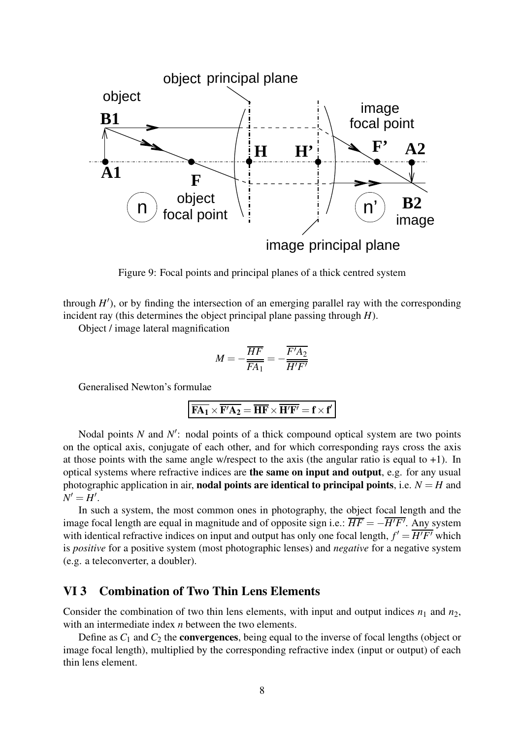

Figure 9: Focal points and principal planes of a thick centred system

through  $H'$ ), or by finding the intersection of an emerging parallel ray with the corresponding incident ray (this determines the object principal plane passing through *H*).

Object / image lateral magnification

$$
M = -\frac{\overline{HF}}{\overline{FA_1}} = -\frac{\overline{F'A_2}}{\overline{H'F'}}
$$

Generalised Newton's formulae

$$
\overline{FA_1}\times\overline{F'A_2}=\overline{HF}\times\overline{H'F'}=f\times f'
$$

Nodal points *N* and *N'*: nodal points of a thick compound optical system are two points on the optical axis, conjugate of each other, and for which corresponding rays cross the axis at those points with the same angle w/respect to the axis (the angular ratio is equal to  $+1$ ). In optical systems where refractive indices are the same on input and output, e.g. for any usual photographic application in air, **nodal points are identical to principal points**, i.e.  $N = H$  and  $N'=H'$ .

In such a system, the most common ones in photography, the object focal length and the image focal length are equal in magnitude and of opposite sign i.e.: *HF* = −*H*′*F*′ . Any system with identical refractive indices on input and output has only one focal length,  $f' = \overline{H'F'}$  which is *positive* for a positive system (most photographic lenses) and *negative* for a negative system (e.g. a teleconverter, a doubler).

#### <span id="page-7-0"></span>VI 3 Combination of Two Thin Lens Elements

Consider the combination of two thin lens elements, with input and output indices  $n_1$  and  $n_2$ , with an intermediate index *n* between the two elements.

Define as  $C_1$  and  $C_2$  the **convergences**, being equal to the inverse of focal lengths (object or image focal length), multiplied by the corresponding refractive index (input or output) of each thin lens element.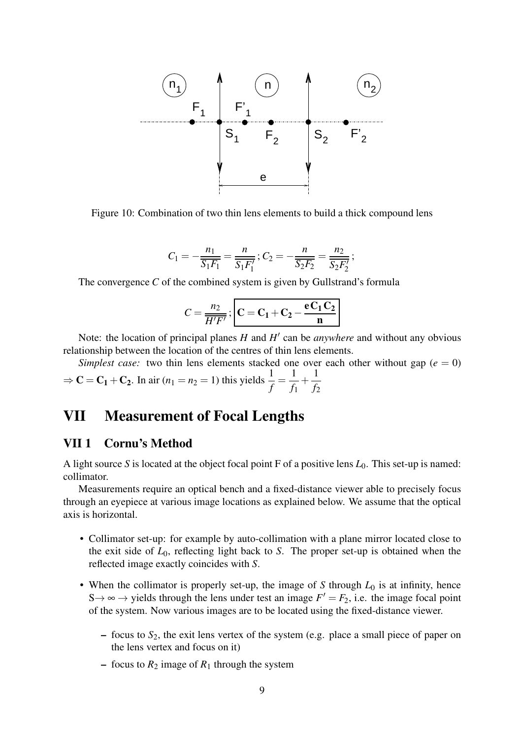

Figure 10: Combination of two thin lens elements to build a thick compound lens

$$
C_1 = -\frac{n_1}{S_1F_1} = \frac{n}{S_1F_1'}; C_2 = -\frac{n}{S_2F_2} = \frac{n_2}{S_2F_2'};
$$

The convergence *C* of the combined system is given by Gullstrand's formula

$$
C = \frac{n_2}{\overline{H'F'}}; \quad \boxed{C = C_1 + C_2 - \frac{eC_1C_2}{n}}
$$

Note: the location of principal planes *H* and *H* ′ can be *anywhere* and without any obvious relationship between the location of the centres of thin lens elements.

*Simplest case:* two thin lens elements stacked one over each other without gap ( $e = 0$ )  $\Rightarrow$  **C** = **C**<sub>1</sub> + **C**<sub>2</sub>. In air (*n*<sub>1</sub> = *n*<sub>2</sub> = 1) this yields  $\frac{1}{f}$  = 1  $\frac{1}{f_1}$  + 1 *f*2

## <span id="page-8-1"></span><span id="page-8-0"></span>VII Measurement of Focal Lengths

#### VII 1 Cornu's Method

A light source *S* is located at the object focal point F of a positive lens *L*0. This set-up is named: collimator.

Measurements require an optical bench and a fixed-distance viewer able to precisely focus through an eyepiece at various image locations as explained below. We assume that the optical axis is horizontal.

- Collimator set-up: for example by auto-collimation with a plane mirror located close to the exit side of *L*0, reflecting light back to *S*. The proper set-up is obtained when the reflected image exactly coincides with *S*.
- When the collimator is properly set-up, the image of  $S$  through  $L_0$  is at infinity, hence S  $\rightarrow \infty$   $\rightarrow$  yields through the lens under test an image  $F' = F_2$ , i.e. the image focal point of the system. Now various images are to be located using the fixed-distance viewer.
	- focus to *S*2, the exit lens vertex of the system (e.g. place a small piece of paper on the lens vertex and focus on it)
	- focus to  $R_2$  image of  $R_1$  through the system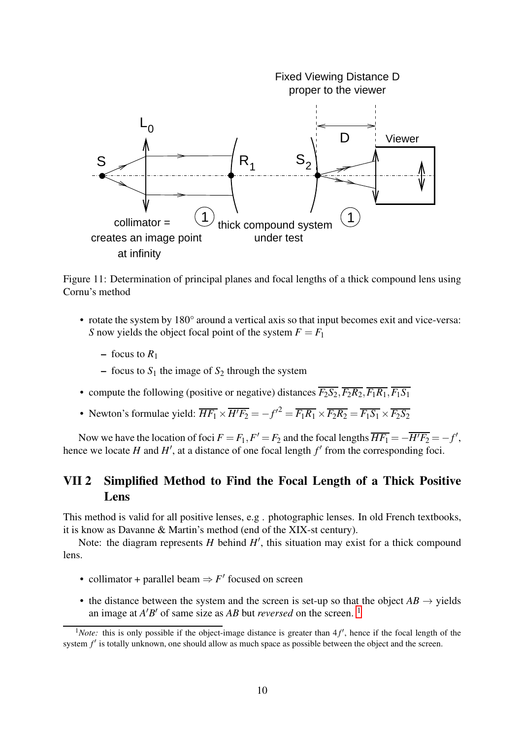

Figure 11: Determination of principal planes and focal lengths of a thick compound lens using Cornu's method

- rotate the system by 180° around a vertical axis so that input becomes exit and vice-versa: *S* now yields the object focal point of the system  $F = F_1$ 
	- focus to  $R_1$
	- focus to  $S_1$  the image of  $S_2$  through the system
- compute the following (positive or negative) distances  $\overline{F_2S_2}$ ,  $\overline{F_2R_2}$ ,  $\overline{F_1R_1}$ ,  $\overline{F_1S_1}$
- Newton's formulae yield:  $\overline{HF_1} \times \overline{H'F_2} = -f'^2 = \overline{F_1R_1} \times \overline{F_2R_2} = \overline{F_1S_1} \times \overline{F_2S_2}$

Now we have the location of foci  $F = F_1, F' = F_2$  and the focal lengths  $\overline{HF_1} = -\overline{H'F_2} = -f'$ , hence we locate  $H$  and  $H'$ , at a distance of one focal length  $f'$  from the corresponding foci.

### <span id="page-9-0"></span>VII 2 Simplified Method to Find the Focal Length of a Thick Positive Lens

This method is valid for all positive lenses, e.g . photographic lenses. In old French textbooks, it is know as Davanne & Martin's method (end of the XIX-st century).

Note: the diagram represents  $H$  behind  $H'$ , this situation may exist for a thick compound lens.

- collimator + parallel beam  $\Rightarrow$  *F'* focused on screen
- the distance between the system and the screen is set-up so that the object  $AB \rightarrow$  yields an image at *A'B'* of same size as *AB* but *reversed* on the screen.<sup>[1](#page-9-1)</sup>

<span id="page-9-1"></span><sup>&</sup>lt;sup>1</sup>Note: this is only possible if the object-image distance is greater than  $4f'$ , hence if the focal length of the system  $f'$  is totally unknown, one should allow as much space as possible between the object and the screen.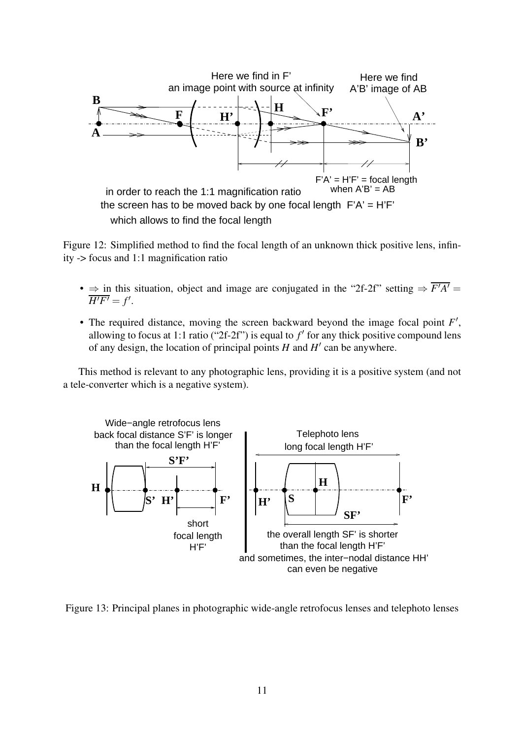

Figure 12: Simplified method to find the focal length of an unknown thick positive lens, infinity -> focus and 1:1 magnification ratio

- $\Rightarrow$  in this situation, object and image are conjugated in the "2f-2f" setting  $\Rightarrow$   $\overline{F'A'}$  =  $\overline{H'F'}=f'$ .
- The required distance, moving the screen backward beyond the image focal point F', allowing to focus at 1:1 ratio (" $2f-2f$ ") is equal to  $f'$  for any thick positive compound lens of any design, the location of principal points  $H$  and  $H'$  can be anywhere.

This method is relevant to any photographic lens, providing it is a positive system (and not a tele-converter which is a negative system).



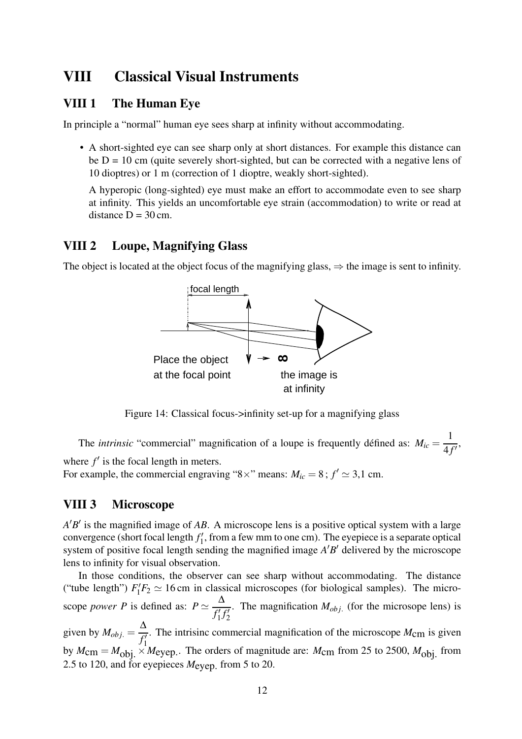## <span id="page-11-1"></span><span id="page-11-0"></span>VIII Classical Visual Instruments

### VIII 1 The Human Eye

In principle a "normal" human eye sees sharp at infinity without accommodating.

• A short-sighted eye can see sharp only at short distances. For example this distance can be  $D = 10$  cm (quite severely short-sighted, but can be corrected with a negative lens of 10 dioptres) or 1 m (correction of 1 dioptre, weakly short-sighted).

A hyperopic (long-sighted) eye must make an effort to accommodate even to see sharp at infinity. This yields an uncomfortable eye strain (accommodation) to write or read at distance  $D = 30$  cm.

### <span id="page-11-2"></span>VIII 2 Loupe, Magnifying Glass

The object is located at the object focus of the magnifying glass,  $\Rightarrow$  the image is sent to infinity.



Figure 14: Classical focus->infinity set-up for a magnifying glass

The *intrinsic* "commercial" magnification of a loupe is frequently défined as:  $M_{ic}$  = 1  $\frac{1}{4f'}$ , where  $f'$  is the focal length in meters.

For example, the commercial engraving "8×" means:  $M_{ic} = 8$ ;  $f' \approx 3.1$  cm.

### <span id="page-11-3"></span>VIII 3 Microscope

*A* ′*B* ′ is the magnified image of *AB*. A microscope lens is a positive optical system with a large convergence (short focal length *f* ′  $\frac{1}{1}$ , from a few mm to one cm). The eyepiece is a separate optical system of positive focal length sending the magnified image  $A'B'$  delivered by the microscope lens to infinity for visual observation.

In those conditions, the observer can see sharp without accommodating. The distance ("tube length")  $F_1'F_2 \simeq 16$  cm in classical microscopes (for biological samples). The microscope *power P* is defined as:  $P \simeq$ ∆ *f* ′  $\frac{f}{1}$  $\frac{1}{2}$ . The magnification  $M_{obj}$ . (for the microsope lens) is given by  $M_{obj.} =$ ∆  $\frac{1}{f_1'}$ . The intrisinc commercial magnification of the microscope  $M_{\text{cm}}$  is given by  $M_{\text{cm}} = M_{\text{obj}} \times M_{\text{eyep}}$ . The orders of magnitude are:  $M_{\text{cm}}$  from 25 to 2500,  $M_{\text{obj}}$  from 2.5 to 120, and for eyepieces *M*eyep. from 5 to 20.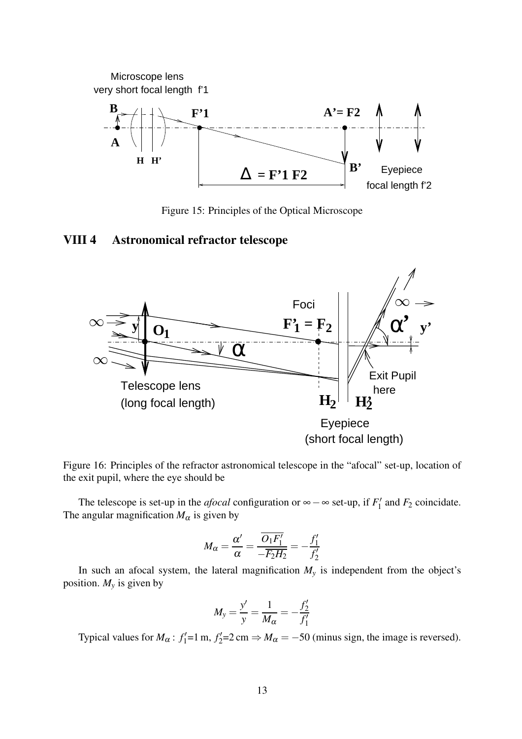$\Delta$  = F'1 F2 Microscope lens very short focal length f'1 Eyepiece **A F'1 H' H B B'**  $A' = F2$ 

Figure 15: Principles of the Optical Microscope

focal length f'2

#### <span id="page-12-0"></span>VIII 4 Astronomical refractor telescope



Figure 16: Principles of the refractor astronomical telescope in the "afocal" set-up, location of the exit pupil, where the eye should be

The telescope is set-up in the *afocal* configuration or  $\infty - \infty$  set-up, if  $F'_1$  $T_1'$  and  $F_2$  coincidate. The angular magnification  $M_{\alpha}$  is given by

$$
M_{\alpha} = \frac{\alpha'}{\alpha} = \frac{\overline{O_1 F_1'}}{-\overline{F_2} \overline{H_2}} = -\frac{f_1'}{f_2'}
$$

In such an afocal system, the lateral magnification  $M<sub>y</sub>$  is independent from the object's position.  $M_y$  is given by

$$
M_{y} = \frac{y'}{y} = \frac{1}{M_{\alpha}} = -\frac{f'_{2}}{f'_{1}}
$$

Typical values for  $M_\alpha$ :  $f'_1$  $f'_1 = 1$  m,  $f'_2$  $C_2'$ =2 cm  $\Rightarrow$   $M_\alpha$  = -50 (minus sign, the image is reversed).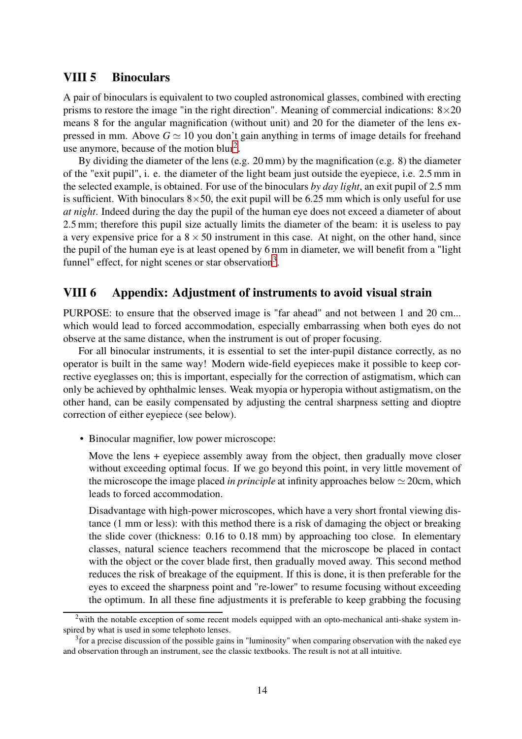#### <span id="page-13-0"></span>VIII 5 Binoculars

A pair of binoculars is equivalent to two coupled astronomical glasses, combined with erecting prisms to restore the image "in the right direction". Meaning of commercial indications:  $8 \times 20$ means 8 for the angular magnification (without unit) and 20 for the diameter of the lens expressed in mm. Above  $G \simeq 10$  you don't gain anything in terms of image details for freehand use anymore, because of the motion blur<sup>[2](#page-13-2)</sup>.

By dividing the diameter of the lens (e.g. 20 mm) by the magnification (e.g. 8) the diameter of the "exit pupil", i. e. the diameter of the light beam just outside the eyepiece, i.e. 2.5 mm in the selected example, is obtained. For use of the binoculars *by day light*, an exit pupil of 2.5 mm is sufficient. With binoculars  $8 \times 50$ , the exit pupil will be 6.25 mm which is only useful for use *at night*. Indeed during the day the pupil of the human eye does not exceed a diameter of about 2.5 mm; therefore this pupil size actually limits the diameter of the beam: it is useless to pay a very expensive price for a  $8 \times 50$  instrument in this case. At night, on the other hand, since the pupil of the human eye is at least opened by 6 mm in diameter, we will benefit from a "light funnel" effect, for night scenes or star observation<sup>[3](#page-13-3)</sup>.

#### <span id="page-13-1"></span>VIII 6 Appendix: Adjustment of instruments to avoid visual strain

PURPOSE: to ensure that the observed image is "far ahead" and not between 1 and 20 cm... which would lead to forced accommodation, especially embarrassing when both eyes do not observe at the same distance, when the instrument is out of proper focusing.

For all binocular instruments, it is essential to set the inter-pupil distance correctly, as no operator is built in the same way! Modern wide-field eyepieces make it possible to keep corrective eyeglasses on; this is important, especially for the correction of astigmatism, which can only be achieved by ophthalmic lenses. Weak myopia or hyperopia without astigmatism, on the other hand, can be easily compensated by adjusting the central sharpness setting and dioptre correction of either eyepiece (see below).

• Binocular magnifier, low power microscope:

Move the lens + eyepiece assembly away from the object, then gradually move closer without exceeding optimal focus. If we go beyond this point, in very little movement of the microscope the image placed *in principle* at infinity approaches below  $\simeq$  20cm, which leads to forced accommodation.

Disadvantage with high-power microscopes, which have a very short frontal viewing distance (1 mm or less): with this method there is a risk of damaging the object or breaking the slide cover (thickness: 0.16 to 0.18 mm) by approaching too close. In elementary classes, natural science teachers recommend that the microscope be placed in contact with the object or the cover blade first, then gradually moved away. This second method reduces the risk of breakage of the equipment. If this is done, it is then preferable for the eyes to exceed the sharpness point and "re-lower" to resume focusing without exceeding the optimum. In all these fine adjustments it is preferable to keep grabbing the focusing

<span id="page-13-2"></span> $2$ with the notable exception of some recent models equipped with an opto-mechanical anti-shake system inspired by what is used in some telephoto lenses.

<span id="page-13-3"></span> $3$  for a precise discussion of the possible gains in "luminosity" when comparing observation with the naked eye and observation through an instrument, see the classic textbooks. The result is not at all intuitive.